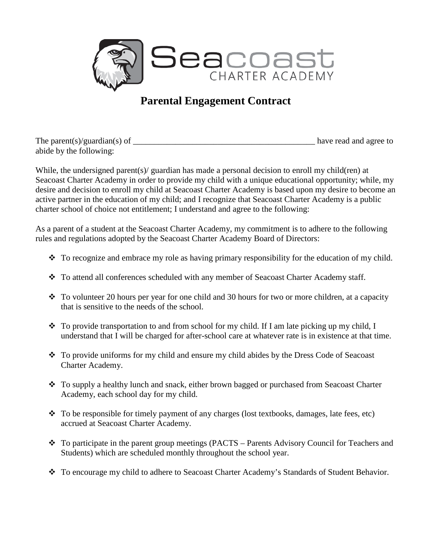

## **Parental Engagement Contract**

| The parent(s)/guardian(s) of | have read and agree to |
|------------------------------|------------------------|
| abide by the following:      |                        |

While, the undersigned parent(s)/ guardian has made a personal decision to enroll my child(ren) at Seacoast Charter Academy in order to provide my child with a unique educational opportunity; while, my desire and decision to enroll my child at Seacoast Charter Academy is based upon my desire to become an active partner in the education of my child; and I recognize that Seacoast Charter Academy is a public charter school of choice not entitlement; I understand and agree to the following:

As a parent of a student at the Seacoast Charter Academy, my commitment is to adhere to the following rules and regulations adopted by the Seacoast Charter Academy Board of Directors:

- \* To recognize and embrace my role as having primary responsibility for the education of my child.
- \* To attend all conferences scheduled with any member of Seacoast Charter Academy staff.
- $\bullet$  To volunteer 20 hours per year for one child and 30 hours for two or more children, at a capacity that is sensitive to the needs of the school.
- $\bullet$  To provide transportation to and from school for my child. If I am late picking up my child, I understand that I will be charged for after-school care at whatever rate is in existence at that time.
- \* To provide uniforms for my child and ensure my child abides by the Dress Code of Seacoast Charter Academy.
- \* To supply a healthy lunch and snack, either brown bagged or purchased from Seacoast Charter Academy, each school day for my child.
- $\cdot \cdot$  To be responsible for timely payment of any charges (lost textbooks, damages, late fees, etc) accrued at Seacoast Charter Academy.
- To participate in the parent group meetings (PACTS Parents Advisory Council for Teachers and Students) which are scheduled monthly throughout the school year.
- \* To encourage my child to adhere to Seacoast Charter Academy's Standards of Student Behavior.